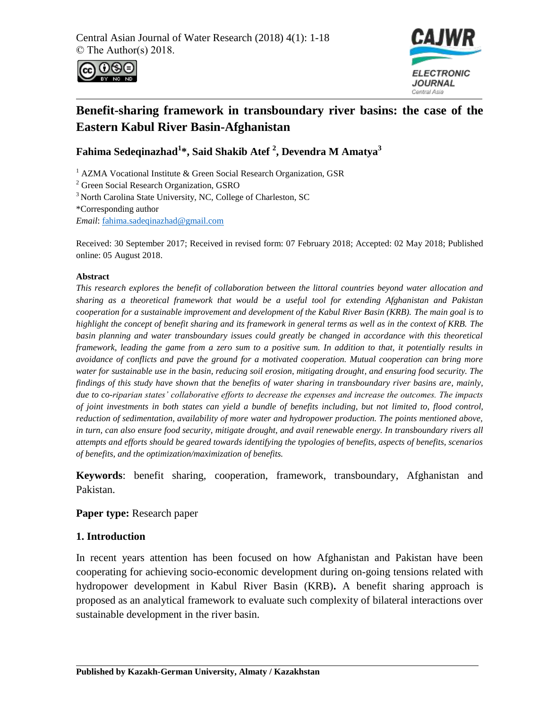



# **Benefit-sharing framework in transboundary river basins: the case of the Eastern Kabul River Basin-Afghanistan**

**Fahima Sedeqinazhad<sup>1</sup> \*, Said Shakib Atef <sup>2</sup> , Devendra M Amatya<sup>3</sup>**

<sup>1</sup> AZMA Vocational Institute & Green Social Research Organization, GSR

<sup>2</sup> Green Social Research Organization, GSRO

<sup>3</sup> North Carolina State University, NC, College of Charleston, SC

\*Corresponding author

*Email*: [fahima.sadeqinazhad@gmail.com](mailto:fahima.sadeqinazhad@gmail.com)

Received: 30 September 2017; Received in revised form: 07 February 2018; Accepted: 02 May 2018; Published online: 05 August 2018.

#### **Abstract**

*This research explores the benefit of collaboration between the littoral countries beyond water allocation and sharing as a theoretical framework that would be a useful tool for extending Afghanistan and Pakistan cooperation for a sustainable improvement and development of the Kabul River Basin (KRB). The main goal is to highlight the concept of benefit sharing and its framework in general terms as well as in the context of KRB. The basin planning and water transboundary issues could greatly be changed in accordance with this theoretical framework, leading the game from a zero sum to a positive sum. In addition to that, it potentially results in avoidance of conflicts and pave the ground for a motivated cooperation. Mutual cooperation can bring more water for sustainable use in the basin, reducing soil erosion, mitigating drought, and ensuring food security. The findings of this study have shown that the benefits of water sharing in transboundary river basins are, mainly, due to co-riparian states' collaborative efforts to decrease the expenses and increase the outcomes. The impacts of joint investments in both states can yield a bundle of benefits including, but not limited to, flood control, reduction of sedimentation, availability of more water and hydropower production. The points mentioned above, in turn, can also ensure food security, mitigate drought, and avail renewable energy. In transboundary rivers all attempts and efforts should be geared towards identifying the typologies of benefits, aspects of benefits, scenarios of benefits, and the optimization/maximization of benefits.* 

**Keywords**: benefit sharing, cooperation, framework, transboundary, Afghanistan and Pakistan.

#### **Paper type:** Research paper

#### **1. Introduction**

In recent years attention has been focused on how Afghanistan and Pakistan have been cooperating for achieving socio-economic development during on-going tensions related with hydropower development in Kabul River Basin (KRB)**.** A benefit sharing approach is proposed as an analytical framework to evaluate such complexity of bilateral interactions over sustainable development in the river basin.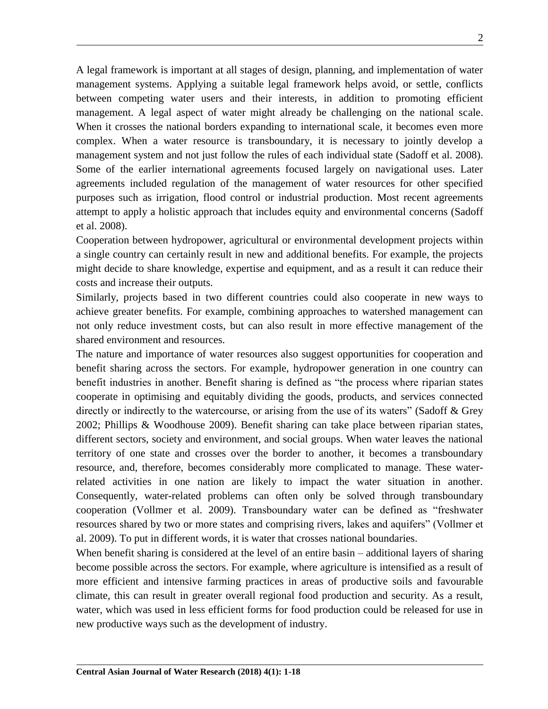A legal framework is important at all stages of design, planning, and implementation of water management systems. Applying a suitable legal framework helps avoid, or settle, conflicts between competing water users and their interests, in addition to promoting efficient management. A legal aspect of water might already be challenging on the national scale. When it crosses the national borders expanding to international scale, it becomes even more complex. When a water resource is transboundary, it is necessary to jointly develop a management system and not just follow the rules of each individual state (Sadoff et al. 2008). Some of the earlier international agreements focused largely on navigational uses. Later agreements included regulation of the management of water resources for other specified purposes such as irrigation, flood control or industrial production. Most recent agreements attempt to apply a holistic approach that includes equity and environmental concerns (Sadoff et al. 2008).

Cooperation between hydropower, agricultural or environmental development projects within a single country can certainly result in new and additional benefits. For example, the projects might decide to share knowledge, expertise and equipment, and as a result it can reduce their costs and increase their outputs.

Similarly, projects based in two different countries could also cooperate in new ways to achieve greater benefits. For example, combining approaches to watershed management can not only reduce investment costs, but can also result in more effective management of the shared environment and resources.

The nature and importance of water resources also suggest opportunities for cooperation and benefit sharing across the sectors. For example, hydropower generation in one country can benefit industries in another. Benefit sharing is defined as "the process where riparian states cooperate in optimising and equitably dividing the goods, products, and services connected directly or indirectly to the watercourse, or arising from the use of its waters" (Sadoff & Grey 2002; Phillips & Woodhouse 2009). Benefit sharing can take place between riparian states, different sectors, society and environment, and social groups. When water leaves the national territory of one state and crosses over the border to another, it becomes a transboundary resource, and, therefore, becomes considerably more complicated to manage. These waterrelated activities in one nation are likely to impact the water situation in another. Consequently, water-related problems can often only be solved through transboundary cooperation (Vollmer et al. 2009). Transboundary water can be defined as "freshwater resources shared by two or more states and comprising rivers, lakes and aquifers" (Vollmer et al. 2009). To put in different words, it is water that crosses national boundaries.

When benefit sharing is considered at the level of an entire basin – additional layers of sharing become possible across the sectors. For example, where agriculture is intensified as a result of more efficient and intensive farming practices in areas of productive soils and favourable climate, this can result in greater overall regional food production and security. As a result, water, which was used in less efficient forms for food production could be released for use in new productive ways such as the development of industry.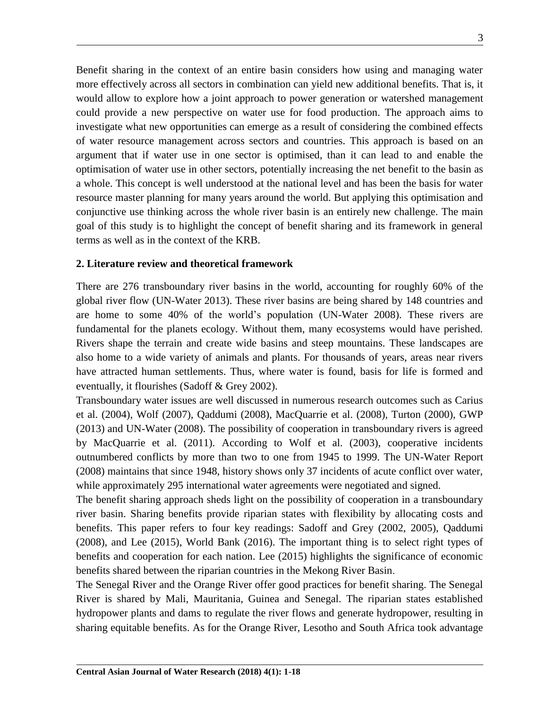Benefit sharing in the context of an entire basin considers how using and managing water more effectively across all sectors in combination can yield new additional benefits. That is, it would allow to explore how a joint approach to power generation or watershed management could provide a new perspective on water use for food production. The approach aims to investigate what new opportunities can emerge as a result of considering the combined effects of water resource management across sectors and countries. This approach is based on an argument that if water use in one sector is optimised, than it can lead to and enable the optimisation of water use in other sectors, potentially increasing the net benefit to the basin as a whole. This concept is well understood at the national level and has been the basis for water resource master planning for many years around the world. But applying this optimisation and conjunctive use thinking across the whole river basin is an entirely new challenge. The main goal of this study is to highlight the concept of benefit sharing and its framework in general terms as well as in the context of the KRB.

### **2. Literature review and theoretical framework**

There are 276 transboundary river basins in the world, accounting for roughly 60% of the global river flow (UN-Water 2013). These river basins are being shared by 148 countries and are home to some 40% of the world"s population (UN-Water 2008). These rivers are fundamental for the planets ecology. Without them, many ecosystems would have perished. Rivers shape the terrain and create wide basins and steep mountains. These landscapes are also home to a wide variety of animals and plants. For thousands of years, areas near rivers have attracted human settlements. Thus, where water is found, basis for life is formed and eventually, it flourishes (Sadoff & Grey 2002).

Transboundary water issues are well discussed in numerous research outcomes such as Carius et al. (2004), Wolf (2007), Qaddumi (2008), MacQuarrie et al. (2008), Turton (2000), GWP (2013) and UN-Water (2008). The possibility of cooperation in transboundary rivers is agreed by MacQuarrie et al. (2011). According to Wolf et al. (2003), cooperative incidents outnumbered conflicts by more than two to one from 1945 to 1999. The UN-Water Report (2008) maintains that since 1948, history shows only 37 incidents of acute conflict over water, while approximately 295 international water agreements were negotiated and signed.

The benefit sharing approach sheds light on the possibility of cooperation in a transboundary river basin. Sharing benefits provide riparian states with flexibility by allocating costs and benefits. This paper refers to four key readings: Sadoff and Grey (2002, 2005), Qaddumi (2008), and Lee (2015), World Bank (2016). The important thing is to select right types of benefits and cooperation for each nation. Lee (2015) highlights the significance of economic benefits shared between the riparian countries in the Mekong River Basin.

The Senegal River and the Orange River offer good practices for benefit sharing. The Senegal River is shared by Mali, Mauritania, Guinea and Senegal. The riparian states established hydropower plants and dams to regulate the river flows and generate hydropower, resulting in sharing equitable benefits. As for the Orange River, Lesotho and South Africa took advantage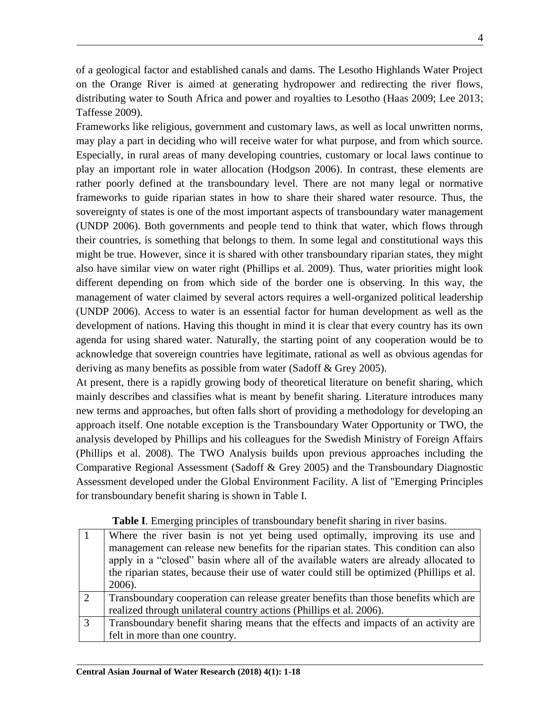of a geological factor and established canals and dams. The Lesotho Highlands Water Project on the Orange River is aimed at generating hydropower and redirecting the river flows, distributing water to South Africa and power and royalties to Lesotho (Haas 2009; Lee 2013; Taffesse 2009).

Frameworks like religious, government and customary laws, as well as local unwritten norms, may play a part in deciding who will receive water for what purpose, and from which source. Especially, in rural areas of many developing countries, customary or local laws continue to play an important role in water allocation (Hodgson 2006). In contrast, these elements are rather poorly defined at the transboundary level. There are not many legal or normative frameworks to guide riparian states in how to share their shared water resource. Thus, the sovereignty of states is one of the most important aspects of transboundary water management (UNDP 2006). Both governments and people tend to think that water, which flows through their countries, is something that belongs to them. In some legal and constitutional ways this might be true. However, since it is shared with other transboundary riparian states, they might also have similar view on water right (Phillips et al. 2009). Thus, water priorities might look different depending on from which side of the border one is observing. In this way, the management of water claimed by several actors requires a well-organized political leadership (UNDP 2006). Access to water is an essential factor for human development as well as the development of nations. Having this thought in mind it is clear that every country has its own agenda for using shared water. Naturally, the starting point of any cooperation would be to acknowledge that sovereign countries have legitimate, rational as well as obvious agendas for deriving as many benefits as possible from water (Sadoff & Grey 2005).

At present, there is a rapidly growing body of theoretical literature on benefit sharing, which mainly describes and classifies what is meant by benefit sharing. Literature introduces many new terms and approaches, but often falls short of providing a methodology for developing an approach itself. One notable exception is the Transboundary Water Opportunity or TWO, the analysis developed by Phillips and his colleagues for the Swedish Ministry of Foreign Affairs (Phillips et al. 2008). The TWO Analysis builds upon previous approaches including the Comparative Regional Assessment (Sadoff & Grey 2005) and the Transboundary Diagnostic Assessment developed under the Global Environment Facility. A list of "Emerging Principles for transboundary benefit sharing is shown in Table I.

|               | Where the river basin is not yet being used optimally, improving its use and<br>management can release new benefits for the riparian states. This condition can also<br>apply in a "closed" basin where all of the available waters are already allocated to<br>the riparian states, because their use of water could still be optimized (Phillips et al.<br>2006). |
|---------------|---------------------------------------------------------------------------------------------------------------------------------------------------------------------------------------------------------------------------------------------------------------------------------------------------------------------------------------------------------------------|
| $\mathcal{D}$ | Transboundary cooperation can release greater benefits than those benefits which are                                                                                                                                                                                                                                                                                |
|               | realized through unilateral country actions (Phillips et al. 2006).                                                                                                                                                                                                                                                                                                 |
| 3             | Transboundary benefit sharing means that the effects and impacts of an activity are                                                                                                                                                                                                                                                                                 |
|               | felt in more than one country.                                                                                                                                                                                                                                                                                                                                      |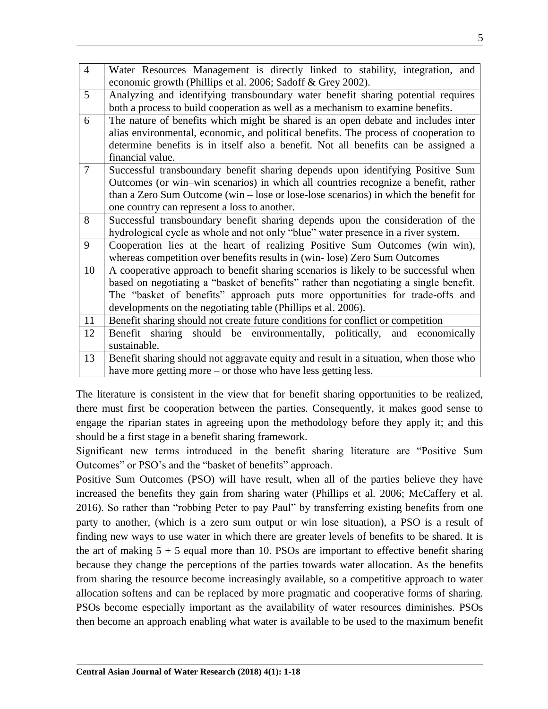| $\overline{4}$ | Water Resources Management is directly linked to stability, integration, and           |  |  |  |
|----------------|----------------------------------------------------------------------------------------|--|--|--|
|                | economic growth (Phillips et al. 2006; Sadoff & Grey 2002).                            |  |  |  |
| 5              | Analyzing and identifying transboundary water benefit sharing potential requires       |  |  |  |
|                | both a process to build cooperation as well as a mechanism to examine benefits.        |  |  |  |
| 6              | The nature of benefits which might be shared is an open debate and includes inter      |  |  |  |
|                | alias environmental, economic, and political benefits. The process of cooperation to   |  |  |  |
|                | determine benefits is in itself also a benefit. Not all benefits can be assigned a     |  |  |  |
|                | financial value.                                                                       |  |  |  |
| $\overline{7}$ | Successful transboundary benefit sharing depends upon identifying Positive Sum         |  |  |  |
|                | Outcomes (or win–win scenarios) in which all countries recognize a benefit, rather     |  |  |  |
|                | than a Zero Sum Outcome (win $-$ lose or lose-lose scenarios) in which the benefit for |  |  |  |
|                | one country can represent a loss to another.                                           |  |  |  |
| 8              | Successful transboundary benefit sharing depends upon the consideration of the         |  |  |  |
|                | hydrological cycle as whole and not only "blue" water presence in a river system.      |  |  |  |
| 9              | Cooperation lies at the heart of realizing Positive Sum Outcomes (win-win),            |  |  |  |
|                | whereas competition over benefits results in (win-lose) Zero Sum Outcomes              |  |  |  |
| 10             | A cooperative approach to benefit sharing scenarios is likely to be successful when    |  |  |  |
|                | based on negotiating a "basket of benefits" rather than negotiating a single benefit.  |  |  |  |
|                | The "basket of benefits" approach puts more opportunities for trade-offs and           |  |  |  |
|                | developments on the negotiating table (Phillips et al. 2006).                          |  |  |  |
| 11             | Benefit sharing should not create future conditions for conflict or competition        |  |  |  |
| 12             | Benefit sharing should be environmentally, politically, and economically               |  |  |  |
|                | sustainable.                                                                           |  |  |  |
| 13             | Benefit sharing should not aggravate equity and result in a situation, when those who  |  |  |  |
|                | have more getting more – or those who have less getting less.                          |  |  |  |

The literature is consistent in the view that for benefit sharing opportunities to be realized, there must first be cooperation between the parties. Consequently, it makes good sense to engage the riparian states in agreeing upon the methodology before they apply it; and this should be a first stage in a benefit sharing framework.

Significant new terms introduced in the benefit sharing literature are "Positive Sum Outcomes" or PSO"s and the "basket of benefits" approach.

Positive Sum Outcomes (PSO) will have result, when all of the parties believe they have increased the benefits they gain from sharing water (Phillips et al. 2006; McCaffery et al. 2016). So rather than "robbing Peter to pay Paul" by transferring existing benefits from one party to another, (which is a zero sum output or win lose situation), a PSO is a result of finding new ways to use water in which there are greater levels of benefits to be shared. It is the art of making  $5 + 5$  equal more than 10. PSOs are important to effective benefit sharing because they change the perceptions of the parties towards water allocation. As the benefits from sharing the resource become increasingly available, so a competitive approach to water allocation softens and can be replaced by more pragmatic and cooperative forms of sharing. PSOs become especially important as the availability of water resources diminishes. PSOs then become an approach enabling what water is available to be used to the maximum benefit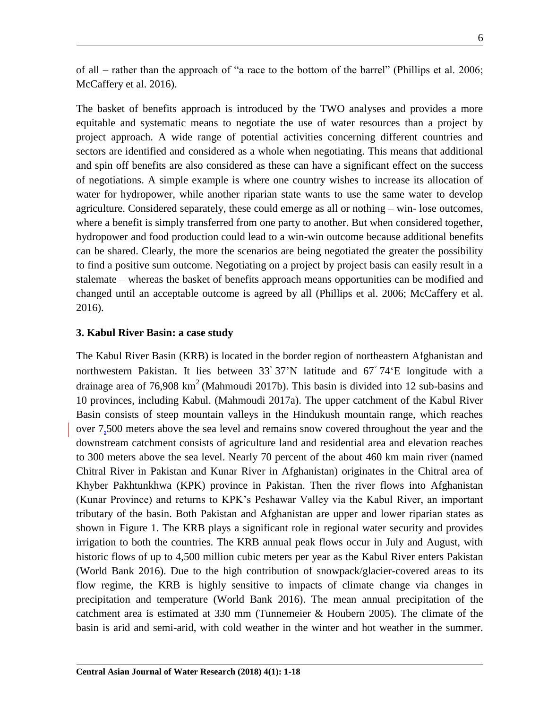of all – rather than the approach of "a race to the bottom of the barrel" (Phillips et al. 2006; McCaffery et al. 2016).

The basket of benefits approach is introduced by the TWO analyses and provides a more equitable and systematic means to negotiate the use of water resources than a project by project approach. A wide range of potential activities concerning different countries and sectors are identified and considered as a whole when negotiating. This means that additional and spin off benefits are also considered as these can have a significant effect on the success of negotiations. A simple example is where one country wishes to increase its allocation of water for hydropower, while another riparian state wants to use the same water to develop agriculture. Considered separately, these could emerge as all or nothing – win- lose outcomes, where a benefit is simply transferred from one party to another. But when considered together, hydropower and food production could lead to a win-win outcome because additional benefits can be shared. Clearly, the more the scenarios are being negotiated the greater the possibility to find a positive sum outcome. Negotiating on a project by project basis can easily result in a stalemate – whereas the basket of benefits approach means opportunities can be modified and changed until an acceptable outcome is agreed by all (Phillips et al. 2006; McCaffery et al. 2016).

#### **3. Kabul River Basin: a case study**

The Kabul River Basin (KRB) is located in the border region of northeastern Afghanistan and northwestern Pakistan. It lies between 33゚37"N latitude and 67゚74"E longitude with a drainage area of  $76,908 \text{ km}^2$  (Mahmoudi 2017b). This basin is divided into 12 sub-basins and 10 provinces, including Kabul. (Mahmoudi 2017a). The upper catchment of the Kabul River Basin consists of steep mountain valleys in the Hindukush mountain range, which reaches over 7,500 meters above the sea level and remains snow covered throughout the year and the downstream catchment consists of agriculture land and residential area and elevation reaches to 300 meters above the sea level. Nearly 70 percent of the about 460 km main river (named Chitral River in Pakistan and Kunar River in Afghanistan) originates in the Chitral area of Khyber Pakhtunkhwa (KPK) province in Pakistan. Then the river flows into Afghanistan (Kunar Province) and returns to KPK"s Peshawar Valley via the Kabul River, an important tributary of the basin. Both Pakistan and Afghanistan are upper and lower riparian states as shown in Figure 1. The KRB plays a significant role in regional water security and provides irrigation to both the countries. The KRB annual peak flows occur in July and August, with historic flows of up to 4,500 million cubic meters per year as the Kabul River enters Pakistan (World Bank 2016). Due to the high contribution of snowpack/glacier-covered areas to its flow regime, the KRB is highly sensitive to impacts of climate change via changes in precipitation and temperature (World Bank 2016). The mean annual precipitation of the catchment area is estimated at 330 mm (Tunnemeier & Houbern 2005). The climate of the basin is arid and semi-arid, with cold weather in the winter and hot weather in the summer.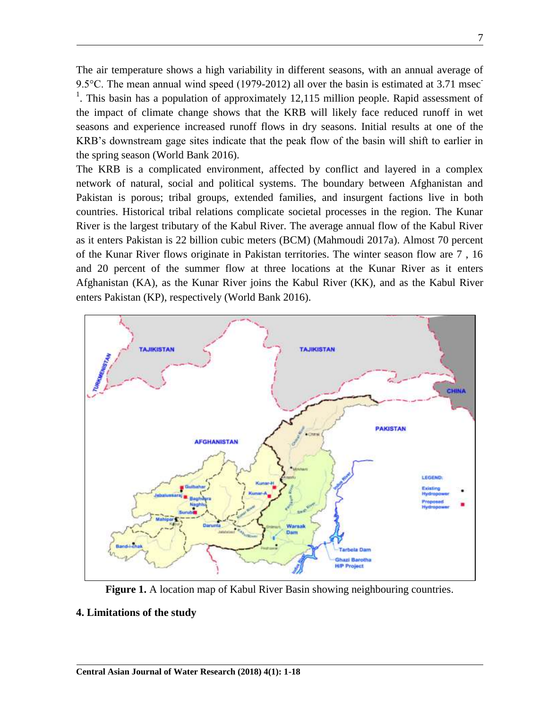The air temperature shows a high variability in different seasons, with an annual average of 9.5°C. The mean annual wind speed (1979-2012) all over the basin is estimated at 3.71 msec <sup>1</sup>. This basin has a population of approximately 12,115 million people. Rapid assessment of the impact of climate change shows that the KRB will likely face reduced runoff in wet seasons and experience increased runoff flows in dry seasons. Initial results at one of the KRB"s downstream gage sites indicate that the peak flow of the basin will shift to earlier in the spring season (World Bank 2016).

The KRB is a complicated environment, affected by conflict and layered in a complex network of natural, social and political systems. The boundary between Afghanistan and Pakistan is porous; tribal groups, extended families, and insurgent factions live in both countries. Historical tribal relations complicate societal processes in the region. The Kunar River is the largest tributary of the Kabul River. The average annual flow of the Kabul River as it enters Pakistan is 22 billion cubic meters (BCM) (Mahmoudi 2017a). Almost 70 percent of the Kunar River flows originate in Pakistan territories. The winter season flow are 7 , 16 and 20 percent of the summer flow at three locations at the Kunar River as it enters Afghanistan (KA), as the Kunar River joins the Kabul River (KK), and as the Kabul River enters Pakistan (KP), respectively (World Bank 2016).



**Figure 1.** A location map of Kabul River Basin showing neighbouring countries.

#### **4. Limitations of the study**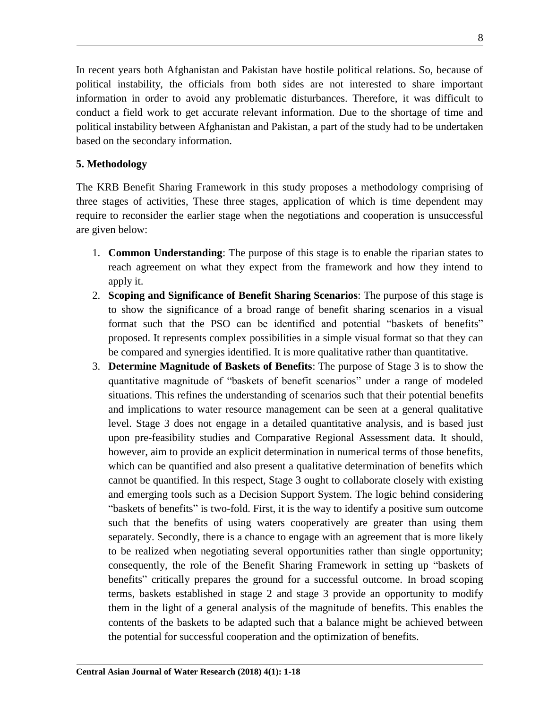In recent years both Afghanistan and Pakistan have hostile political relations. So, because of political instability, the officials from both sides are not interested to share important information in order to avoid any problematic disturbances. Therefore, it was difficult to conduct a field work to get accurate relevant information. Due to the shortage of time and political instability between Afghanistan and Pakistan, a part of the study had to be undertaken based on the secondary information.

### **5. Methodology**

The KRB Benefit Sharing Framework in this study proposes a methodology comprising of three stages of activities, These three stages, application of which is time dependent may require to reconsider the earlier stage when the negotiations and cooperation is unsuccessful are given below:

- 1. **Common Understanding**: The purpose of this stage is to enable the riparian states to reach agreement on what they expect from the framework and how they intend to apply it.
- 2. **Scoping and Significance of Benefit Sharing Scenarios**: The purpose of this stage is to show the significance of a broad range of benefit sharing scenarios in a visual format such that the PSO can be identified and potential "baskets of benefits" proposed. It represents complex possibilities in a simple visual format so that they can be compared and synergies identified. It is more qualitative rather than quantitative.
- 3. **Determine Magnitude of Baskets of Benefits**: The purpose of Stage 3 is to show the quantitative magnitude of "baskets of benefit scenarios" under a range of modeled situations. This refines the understanding of scenarios such that their potential benefits and implications to water resource management can be seen at a general qualitative level. Stage 3 does not engage in a detailed quantitative analysis, and is based just upon pre-feasibility studies and Comparative Regional Assessment data. It should, however, aim to provide an explicit determination in numerical terms of those benefits, which can be quantified and also present a qualitative determination of benefits which cannot be quantified. In this respect, Stage 3 ought to collaborate closely with existing and emerging tools such as a Decision Support System. The logic behind considering "baskets of benefits" is two-fold. First, it is the way to identify a positive sum outcome such that the benefits of using waters cooperatively are greater than using them separately. Secondly, there is a chance to engage with an agreement that is more likely to be realized when negotiating several opportunities rather than single opportunity; consequently, the role of the Benefit Sharing Framework in setting up "baskets of benefits" critically prepares the ground for a successful outcome. In broad scoping terms, baskets established in stage 2 and stage 3 provide an opportunity to modify them in the light of a general analysis of the magnitude of benefits. This enables the contents of the baskets to be adapted such that a balance might be achieved between the potential for successful cooperation and the optimization of benefits.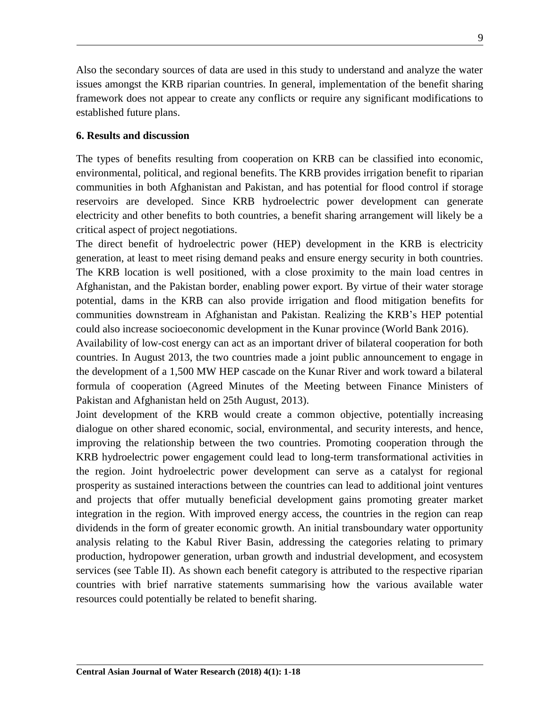Also the secondary sources of data are used in this study to understand and analyze the water issues amongst the KRB riparian countries. In general, implementation of the benefit sharing framework does not appear to create any conflicts or require any significant modifications to established future plans.

### **6. Results and discussion**

The types of benefits resulting from cooperation on KRB can be classified into economic, environmental, political, and regional benefits. The KRB provides irrigation benefit to riparian communities in both Afghanistan and Pakistan, and has potential for flood control if storage reservoirs are developed. Since KRB hydroelectric power development can generate electricity and other benefits to both countries, a benefit sharing arrangement will likely be a critical aspect of project negotiations.

The direct benefit of hydroelectric power (HEP) development in the KRB is electricity generation, at least to meet rising demand peaks and ensure energy security in both countries. The KRB location is well positioned, with a close proximity to the main load centres in Afghanistan, and the Pakistan border, enabling power export. By virtue of their water storage potential, dams in the KRB can also provide irrigation and flood mitigation benefits for communities downstream in Afghanistan and Pakistan. Realizing the KRB"s HEP potential could also increase socioeconomic development in the Kunar province (World Bank 2016).

Availability of low-cost energy can act as an important driver of bilateral cooperation for both countries. In August 2013, the two countries made a joint public announcement to engage in the development of a 1,500 MW HEP cascade on the Kunar River and work toward a bilateral formula of cooperation (Agreed Minutes of the Meeting between Finance Ministers of Pakistan and Afghanistan held on 25th August, 2013).

Joint development of the KRB would create a common objective, potentially increasing dialogue on other shared economic, social, environmental, and security interests, and hence, improving the relationship between the two countries. Promoting cooperation through the KRB hydroelectric power engagement could lead to long-term transformational activities in the region. Joint hydroelectric power development can serve as a catalyst for regional prosperity as sustained interactions between the countries can lead to additional joint ventures and projects that offer mutually beneficial development gains promoting greater market integration in the region. With improved energy access, the countries in the region can reap dividends in the form of greater economic growth. An initial transboundary water opportunity analysis relating to the Kabul River Basin, addressing the categories relating to primary production, hydropower generation, urban growth and industrial development, and ecosystem services (see Table II). As shown each benefit category is attributed to the respective riparian countries with brief narrative statements summarising how the various available water resources could potentially be related to benefit sharing.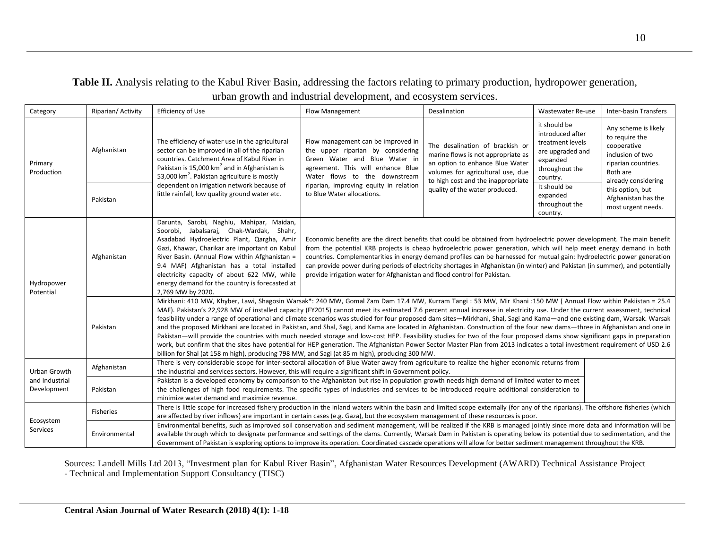## **Table II.** Analysis relating to the Kabul River Basin, addressing the factors relating to primary production, hydropower generation, urban growth and industrial development, and ecosystem services.

| Category                      | Riparian/Activity       | Efficiency of Use                                                                                                                                                                                                                                                                                                                                                                                                                                                                                                                                                                                                                                                                                                                                                                                                                                                                                                                                                                                                                                                                                                                                                  | <b>Flow Management</b>                                                                                                                                                                                                                                                                                                                                                                                                                                                                                                                                                                  | Desalination                                                                                                                                                                                                          | Wastewater Re-use                                                                                                                                                            | <b>Inter-basin Transfers</b>                                                                                                                                                                         |  |
|-------------------------------|-------------------------|--------------------------------------------------------------------------------------------------------------------------------------------------------------------------------------------------------------------------------------------------------------------------------------------------------------------------------------------------------------------------------------------------------------------------------------------------------------------------------------------------------------------------------------------------------------------------------------------------------------------------------------------------------------------------------------------------------------------------------------------------------------------------------------------------------------------------------------------------------------------------------------------------------------------------------------------------------------------------------------------------------------------------------------------------------------------------------------------------------------------------------------------------------------------|-----------------------------------------------------------------------------------------------------------------------------------------------------------------------------------------------------------------------------------------------------------------------------------------------------------------------------------------------------------------------------------------------------------------------------------------------------------------------------------------------------------------------------------------------------------------------------------------|-----------------------------------------------------------------------------------------------------------------------------------------------------------------------------------------------------------------------|------------------------------------------------------------------------------------------------------------------------------------------------------------------------------|------------------------------------------------------------------------------------------------------------------------------------------------------------------------------------------------------|--|
| Primary<br>Production         | Afghanistan<br>Pakistan | The efficiency of water use in the agricultural<br>sector can be improved in all of the riparian<br>countries. Catchment Area of Kabul River in<br>Pakistan is 15,000 km <sup>2</sup> and in Afghanistan is<br>53,000 km <sup>2</sup> . Pakistan agriculture is mostly<br>dependent on irrigation network because of<br>little rainfall, low quality ground water etc.                                                                                                                                                                                                                                                                                                                                                                                                                                                                                                                                                                                                                                                                                                                                                                                             | Flow management can be improved in<br>the upper riparian by considering<br>Green Water and Blue Water in<br>agreement. This will enhance Blue<br>Water flows to the downstream<br>riparian, improving equity in relation<br>to Blue Water allocations.                                                                                                                                                                                                                                                                                                                                  | The desalination of brackish or<br>marine flows is not appropriate as<br>an option to enhance Blue Water<br>volumes for agricultural use, due<br>to high cost and the inappropriate<br>quality of the water produced. | it should be<br>introduced after<br>treatment levels<br>are upgraded and<br>expanded<br>throughout the<br>country.<br>It should be<br>expanded<br>throughout the<br>country. | Any scheme is likely<br>to require the<br>cooperative<br>inclusion of two<br>riparian countries.<br>Both are<br>already considering<br>this option, but<br>Afghanistan has the<br>most urgent needs. |  |
| Hydropower<br>Potential       | Afghanistan             | Darunta, Sarobi, Naghlu, Mahipar, Maidan,<br>Soorobi, Jabalsaraj, Chak-Wardak, Shahr,<br>Asadabad Hydroelectric Plant, Qargha, Amir<br>Gazi, Khawar, Charikar are important on Kabul<br>River Basin. (Annual Flow within Afghanistan =<br>9.4 MAF) Afghanistan has a total installed<br>electricity capacity of about 622 MW, while<br>energy demand for the country is forecasted at<br>2,769 MW by 2020.                                                                                                                                                                                                                                                                                                                                                                                                                                                                                                                                                                                                                                                                                                                                                         | Economic benefits are the direct benefits that could be obtained from hydroelectric power development. The main benefit<br>from the potential KRB projects is cheap hydroelectric power generation, which will help meet energy demand in both<br>countries. Complementarities in energy demand profiles can be harnessed for mutual gain: hydroelectric power generation<br>can provide power during periods of electricity shortages in Afghanistan (in winter) and Pakistan (in summer), and potentially<br>provide irrigation water for Afghanistan and flood control for Pakistan. |                                                                                                                                                                                                                       |                                                                                                                                                                              |                                                                                                                                                                                                      |  |
|                               | Pakistan                | Mirkhani: 410 MW, Khyber, Lawi, Shagosin Warsak*: 240 MW, Gomal Zam Dam 17.4 MW, Kurram Tangi: 53 MW, Mir Khani: 150 MW (Annual Flow within Pakiistan = 25.4<br>MAF). Pakistan's 22,928 MW of installed capacity (FY2015) cannot meet its estimated 7.6 percent annual increase in electricity use. Under the current assessment, technical<br>feasibility under a range of operational and climate scenarios was studied for four proposed dam sites—Mirkhani, Shal, Sagi and Kama—and one existing dam, Warsak. Warsak<br>and the proposed Mirkhani are located in Pakistan, and Shal, Sagi, and Kama are located in Afghanistan. Construction of the four new dams—three in Afghanistan and one in<br>Pakistan—will provide the countries with much needed storage and low-cost HEP. Feasibility studies for two of the four proposed dams show significant gaps in preparation<br>work, but confirm that the sites have potential for HEP generation. The Afghanistan Power Sector Master Plan from 2013 indicates a total investment requirement of USD 2.6<br>billion for Shal (at 158 m high), producing 798 MW, and Sagi (at 85 m high), producing 300 MW. |                                                                                                                                                                                                                                                                                                                                                                                                                                                                                                                                                                                         |                                                                                                                                                                                                                       |                                                                                                                                                                              |                                                                                                                                                                                                      |  |
| Urban Growth                  | Afghanistan             | There is very considerable scope for inter-sectoral allocation of Blue Water away from agriculture to realize the higher economic returns from<br>the industrial and services sectors. However, this will require a significant shift in Government policy.                                                                                                                                                                                                                                                                                                                                                                                                                                                                                                                                                                                                                                                                                                                                                                                                                                                                                                        |                                                                                                                                                                                                                                                                                                                                                                                                                                                                                                                                                                                         |                                                                                                                                                                                                                       |                                                                                                                                                                              |                                                                                                                                                                                                      |  |
| and Industrial<br>Development | Pakistan                | Pakistan is a developed economy by comparison to the Afghanistan but rise in population growth needs high demand of limited water to meet<br>the challenges of high food requirements. The specific types of industries and services to be introduced require additional consideration to<br>minimize water demand and maximize revenue.                                                                                                                                                                                                                                                                                                                                                                                                                                                                                                                                                                                                                                                                                                                                                                                                                           |                                                                                                                                                                                                                                                                                                                                                                                                                                                                                                                                                                                         |                                                                                                                                                                                                                       |                                                                                                                                                                              |                                                                                                                                                                                                      |  |
|                               | Fisheries               | There is little scope for increased fishery production in the inland waters within the basin and limited scope externally (for any of the riparians). The offshore fisheries (which<br>are affected by river inflows) are important in certain cases (e.g. Gaza), but the ecosystem management of these resources is poor.                                                                                                                                                                                                                                                                                                                                                                                                                                                                                                                                                                                                                                                                                                                                                                                                                                         |                                                                                                                                                                                                                                                                                                                                                                                                                                                                                                                                                                                         |                                                                                                                                                                                                                       |                                                                                                                                                                              |                                                                                                                                                                                                      |  |
| Ecosystem<br><b>Services</b>  | Environmental           | Environmental benefits, such as improved soil conservation and sediment management, will be realized if the KRB is managed jointly since more data and information will be<br>available through which to designate performance and settings of the dams. Currently, Warsak Dam in Pakistan is operating below its potential due to sedimentation, and the<br>Government of Pakistan is exploring options to improve its operation. Coordinated cascade operations will allow for better sediment management throughout the KRB.                                                                                                                                                                                                                                                                                                                                                                                                                                                                                                                                                                                                                                    |                                                                                                                                                                                                                                                                                                                                                                                                                                                                                                                                                                                         |                                                                                                                                                                                                                       |                                                                                                                                                                              |                                                                                                                                                                                                      |  |

Sources: Landell Mills Ltd 2013, "Investment plan for Kabul River Basin", Afghanistan Water Resources Development (AWARD) Technical Assistance Project - Technical and Implementation Support Consultancy (TISC)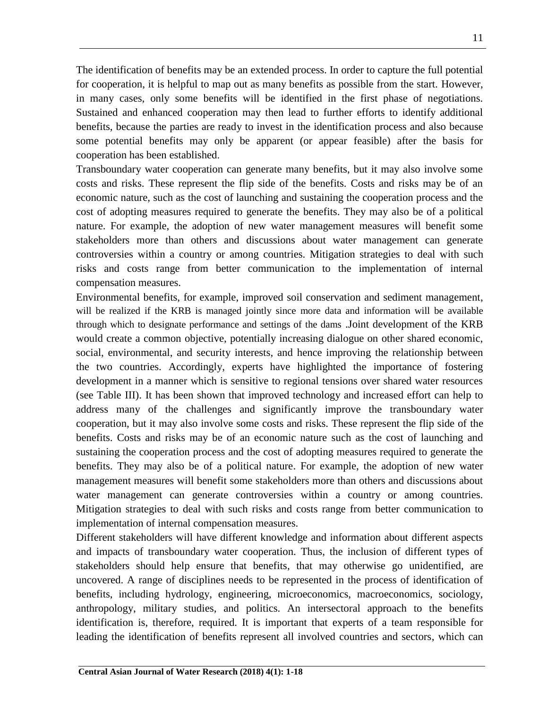The identification of benefits may be an extended process. In order to capture the full potential for cooperation, it is helpful to map out as many benefits as possible from the start. However, in many cases, only some benefits will be identified in the first phase of negotiations. Sustained and enhanced cooperation may then lead to further efforts to identify additional benefits, because the parties are ready to invest in the identification process and also because some potential benefits may only be apparent (or appear feasible) after the basis for cooperation has been established.

Transboundary water cooperation can generate many benefits, but it may also involve some costs and risks. These represent the flip side of the benefits. Costs and risks may be of an economic nature, such as the cost of launching and sustaining the cooperation process and the cost of adopting measures required to generate the benefits. They may also be of a political nature. For example, the adoption of new water management measures will benefit some stakeholders more than others and discussions about water management can generate controversies within a country or among countries. Mitigation strategies to deal with such risks and costs range from better communication to the implementation of internal compensation measures.

Environmental benefits, for example, improved soil conservation and sediment management, will be realized if the KRB is managed jointly since more data and information will be available through which to designate performance and settings of the dams .Joint development of the KRB would create a common objective, potentially increasing dialogue on other shared economic, social, environmental, and security interests, and hence improving the relationship between the two countries. Accordingly, experts have highlighted the importance of fostering development in a manner which is sensitive to regional tensions over shared water resources (see Table III). It has been shown that improved technology and increased effort can help to address many of the challenges and significantly improve the transboundary water cooperation, but it may also involve some costs and risks. These represent the flip side of the benefits. Costs and risks may be of an economic nature such as the cost of launching and sustaining the cooperation process and the cost of adopting measures required to generate the benefits. They may also be of a political nature. For example, the adoption of new water management measures will benefit some stakeholders more than others and discussions about water management can generate controversies within a country or among countries. Mitigation strategies to deal with such risks and costs range from better communication to implementation of internal compensation measures.

Different stakeholders will have different knowledge and information about different aspects and impacts of transboundary water cooperation. Thus, the inclusion of different types of stakeholders should help ensure that benefits, that may otherwise go unidentified, are uncovered. A range of disciplines needs to be represented in the process of identification of benefits, including hydrology, engineering, microeconomics, macroeconomics, sociology, anthropology, military studies, and politics. An intersectoral approach to the benefits identification is, therefore, required. It is important that experts of a team responsible for leading the identification of benefits represent all involved countries and sectors, which can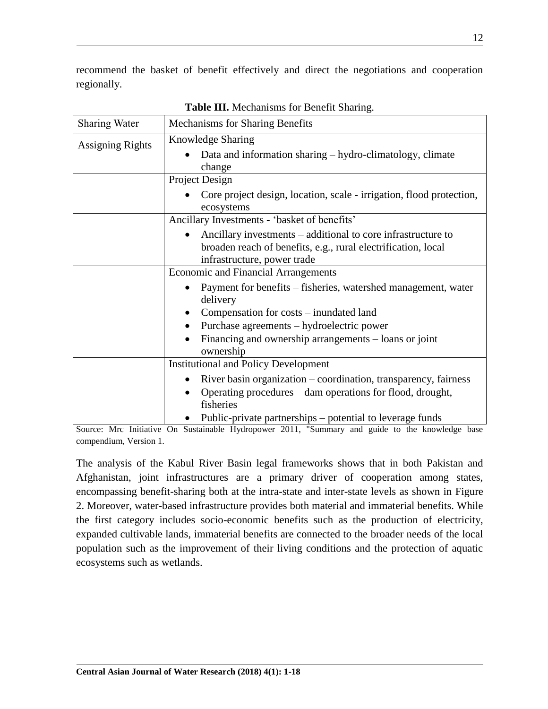recommend the basket of benefit effectively and direct the negotiations and cooperation regionally.

| <b>Sharing Water</b>                         | <b>Mechanisms for Sharing Benefits</b>                                                                                                                       |  |  |  |
|----------------------------------------------|--------------------------------------------------------------------------------------------------------------------------------------------------------------|--|--|--|
| <b>Assigning Rights</b>                      | Knowledge Sharing<br>Data and information sharing – hydro-climatology, climate                                                                               |  |  |  |
|                                              | change                                                                                                                                                       |  |  |  |
|                                              | Project Design                                                                                                                                               |  |  |  |
|                                              | Core project design, location, scale - irrigation, flood protection,<br>ecosystems                                                                           |  |  |  |
| Ancillary Investments - 'basket of benefits' |                                                                                                                                                              |  |  |  |
|                                              | Ancillary investments – additional to core infrastructure to<br>broaden reach of benefits, e.g., rural electrification, local<br>infrastructure, power trade |  |  |  |
|                                              | <b>Economic and Financial Arrangements</b>                                                                                                                   |  |  |  |
|                                              | Payment for benefits - fisheries, watershed management, water<br>delivery                                                                                    |  |  |  |
|                                              | Compensation for costs – inundated land                                                                                                                      |  |  |  |
|                                              | Purchase agreements – hydroelectric power                                                                                                                    |  |  |  |
|                                              | Financing and ownership arrangements – loans or joint<br>ownership                                                                                           |  |  |  |
|                                              | <b>Institutional and Policy Development</b>                                                                                                                  |  |  |  |
|                                              | River basin organization – coordination, transparency, fairness                                                                                              |  |  |  |
|                                              | Operating procedures – dam operations for flood, drought,<br>fisheries                                                                                       |  |  |  |
|                                              | Public-private partnerships – potential to leverage funds                                                                                                    |  |  |  |

**Table III.** Mechanisms for Benefit Sharing.

Source: Mrc Initiative On Sustainable Hydropower 2011, "Summary and guide to the knowledge base compendium, Version 1.

The analysis of the Kabul River Basin legal frameworks shows that in both Pakistan and Afghanistan, joint infrastructures are a primary driver of cooperation among states, encompassing benefit-sharing both at the intra-state and inter-state levels as shown in Figure 2. Moreover, water-based infrastructure provides both material and immaterial benefits. While the first category includes socio-economic benefits such as the production of electricity, expanded cultivable lands, immaterial benefits are connected to the broader needs of the local population such as the improvement of their living conditions and the protection of aquatic ecosystems such as wetlands.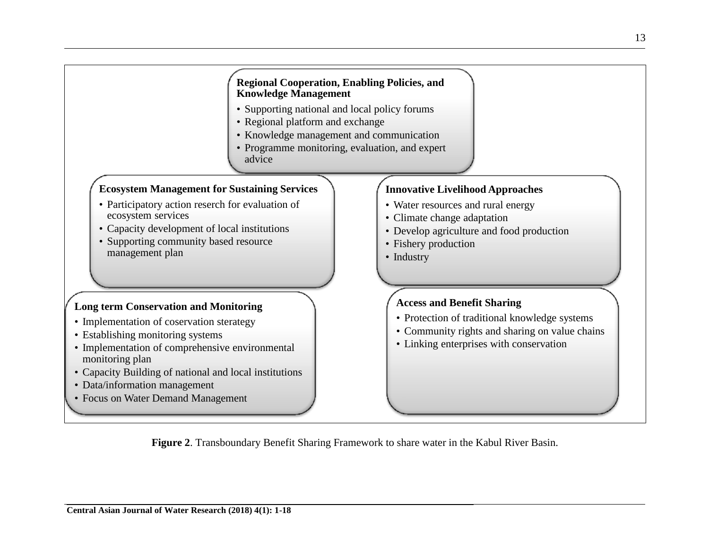

**Figure 2**. Transboundary Benefit Sharing Framework to share water in the Kabul River Basin.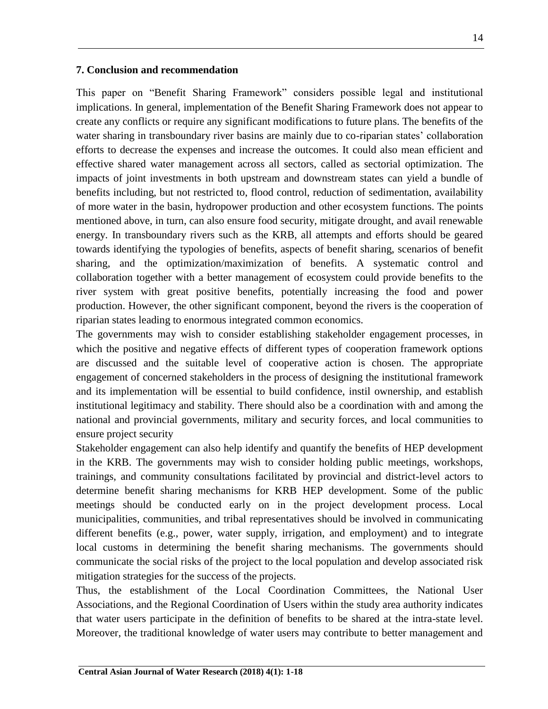#### **7. Conclusion and recommendation**

This paper on "Benefit Sharing Framework" considers possible legal and institutional implications. In general, implementation of the Benefit Sharing Framework does not appear to create any conflicts or require any significant modifications to future plans. The benefits of the water sharing in transboundary river basins are mainly due to co-riparian states' collaboration efforts to decrease the expenses and increase the outcomes. It could also mean efficient and effective shared water management across all sectors, called as sectorial optimization. The impacts of joint investments in both upstream and downstream states can yield a bundle of benefits including, but not restricted to, flood control, reduction of sedimentation, availability of more water in the basin, hydropower production and other ecosystem functions. The points mentioned above, in turn, can also ensure food security, mitigate drought, and avail renewable energy. In transboundary rivers such as the KRB, all attempts and efforts should be geared towards identifying the typologies of benefits, aspects of benefit sharing, scenarios of benefit sharing, and the optimization/maximization of benefits. A systematic control and collaboration together with a better management of ecosystem could provide benefits to the river system with great positive benefits, potentially increasing the food and power production. However, the other significant component, beyond the rivers is the cooperation of riparian states leading to enormous integrated common economics.

The governments may wish to consider establishing stakeholder engagement processes, in which the positive and negative effects of different types of cooperation framework options are discussed and the suitable level of cooperative action is chosen. The appropriate engagement of concerned stakeholders in the process of designing the institutional framework and its implementation will be essential to build confidence, instil ownership, and establish institutional legitimacy and stability. There should also be a coordination with and among the national and provincial governments, military and security forces, and local communities to ensure project security

Stakeholder engagement can also help identify and quantify the benefits of HEP development in the KRB. The governments may wish to consider holding public meetings, workshops, trainings, and community consultations facilitated by provincial and district-level actors to determine benefit sharing mechanisms for KRB HEP development. Some of the public meetings should be conducted early on in the project development process. Local municipalities, communities, and tribal representatives should be involved in communicating different benefits (e.g., power, water supply, irrigation, and employment) and to integrate local customs in determining the benefit sharing mechanisms. The governments should communicate the social risks of the project to the local population and develop associated risk mitigation strategies for the success of the projects.

Thus, the establishment of the Local Coordination Committees, the National User Associations, and the Regional Coordination of Users within the study area authority indicates that water users participate in the definition of benefits to be shared at the intra-state level. Moreover, the traditional knowledge of water users may contribute to better management and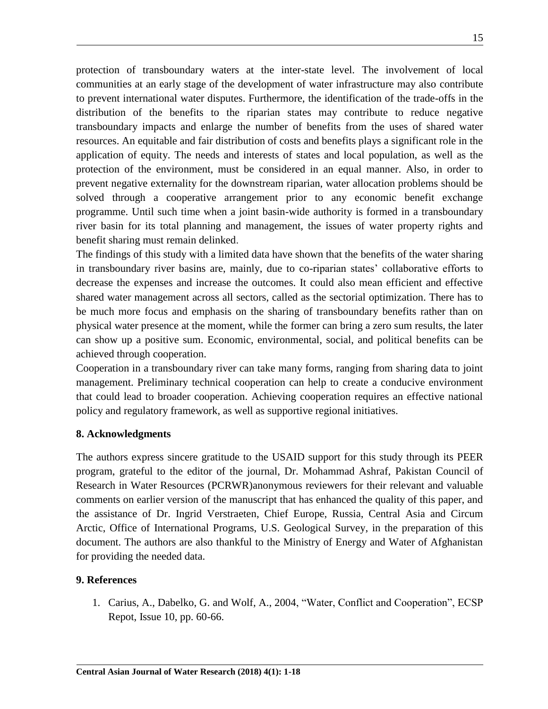protection of transboundary waters at the inter-state level. The involvement of local communities at an early stage of the development of water infrastructure may also contribute to prevent international water disputes. Furthermore, the identification of the trade-offs in the distribution of the benefits to the riparian states may contribute to reduce negative transboundary impacts and enlarge the number of benefits from the uses of shared water resources. An equitable and fair distribution of costs and benefits plays a significant role in the application of equity. The needs and interests of states and local population, as well as the protection of the environment, must be considered in an equal manner. Also, in order to prevent negative externality for the downstream riparian, water allocation problems should be solved through a cooperative arrangement prior to any economic benefit exchange programme. Until such time when a joint basin-wide authority is formed in a transboundary river basin for its total planning and management, the issues of water property rights and benefit sharing must remain delinked.

The findings of this study with a limited data have shown that the benefits of the water sharing in transboundary river basins are, mainly, due to co-riparian states" collaborative efforts to decrease the expenses and increase the outcomes. It could also mean efficient and effective shared water management across all sectors, called as the sectorial optimization. There has to be much more focus and emphasis on the sharing of transboundary benefits rather than on physical water presence at the moment, while the former can bring a zero sum results, the later can show up a positive sum. Economic, environmental, social, and political benefits can be achieved through cooperation.

Cooperation in a transboundary river can take many forms, ranging from sharing data to joint management. Preliminary technical cooperation can help to create a conducive environment that could lead to broader cooperation. Achieving cooperation requires an effective national policy and regulatory framework, as well as supportive regional initiatives.

#### **8. Acknowledgments**

The authors express sincere gratitude to the USAID support for this study through its PEER program, grateful to the editor of the journal, Dr. Mohammad Ashraf, Pakistan Council of Research in Water Resources (PCRWR)anonymous reviewers for their relevant and valuable comments on earlier version of the manuscript that has enhanced the quality of this paper, and the assistance of Dr. Ingrid Verstraeten, Chief Europe, Russia, Central Asia and Circum Arctic, Office of International Programs, U.S. Geological Survey, in the preparation of this document. The authors are also thankful to the Ministry of Energy and Water of Afghanistan for providing the needed data.

#### **9. References**

1. Carius, A., Dabelko, G. and Wolf, A., 2004, "Water, Conflict and Cooperation", ECSP Repot, Issue 10, pp. 60-66.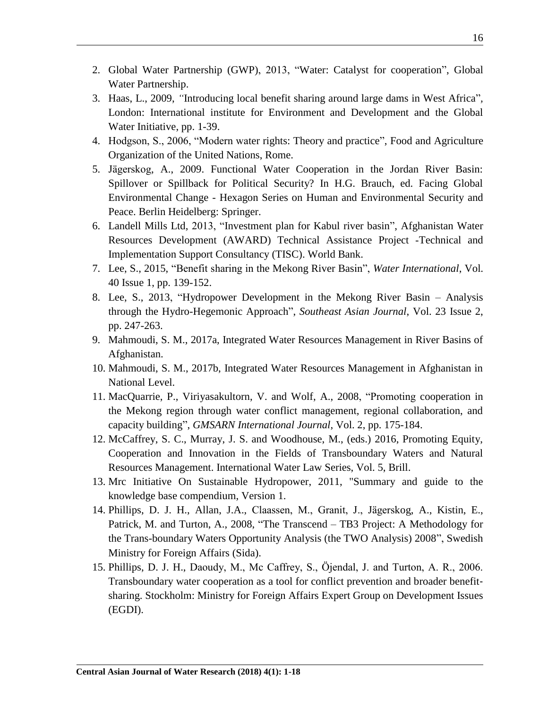- 2. Global Water Partnership (GWP), 2013, "Water: Catalyst for cooperation", Global Water Partnership.
- 3. Haas, L., 2009, *"*Introducing local benefit sharing around large dams in West Africa"*,*  London: International institute for Environment and Development and the Global Water Initiative, pp. 1-39.
- 4. Hodgson, S., 2006, "Modern water rights: Theory and practice", Food and Agriculture Organization of the United Nations, Rome.
- 5. Jägerskog, A., 2009. Functional Water Cooperation in the Jordan River Basin: Spillover or Spillback for Political Security? In H.G. Brauch, ed. Facing Global Environmental Change - Hexagon Series on Human and Environmental Security and Peace. Berlin Heidelberg: Springer.
- 6. Landell Mills Ltd, 2013, "Investment plan for Kabul river basin", Afghanistan Water Resources Development (AWARD) Technical Assistance Project -Technical and Implementation Support Consultancy (TISC). World Bank.
- 7. Lee, S., 2015, "Benefit sharing in the Mekong River Basin", *Water International*, Vol. 40 Issue 1, pp. 139-152.
- 8. Lee, S., 2013, "Hydropower Development in the Mekong River Basin Analysis through the Hydro-Hegemonic Approach", *Southeast Asian Journal*, Vol. 23 Issue 2, pp. 247-263.
- 9. Mahmoudi, S. M., 2017a, Integrated Water Resources Management in River Basins of Afghanistan.
- 10. Mahmoudi, S. M., 2017b, Integrated Water Resources Management in Afghanistan in National Level.
- 11. MacQuarrie, P., Viriyasakultorn, V. and Wolf, A., 2008, "Promoting cooperation in the Mekong region through water conflict management, regional collaboration, and capacity building", *GMSARN International Journal*, Vol. 2, pp. 175-184.
- 12. McCaffrey, S. C., Murray, J. S. and Woodhouse, M., (eds.) 2016, Promoting Equity, Cooperation and Innovation in the Fields of Transboundary Waters and Natural Resources Management. International Water Law Series, Vol. 5, Brill.
- 13. Mrc Initiative On Sustainable Hydropower, 2011, "Summary and guide to the knowledge base compendium, Version 1.
- 14. Phillips, D. J. H., Allan, J.A., Claassen, M., Granit, J., Jägerskog, A., Kistin, E., Patrick, M. and Turton, A., 2008, "The Transcend – TB3 Project: A Methodology for the Trans-boundary Waters Opportunity Analysis (the TWO Analysis) 2008", Swedish Ministry for Foreign Affairs (Sida).
- 15. Phillips, D. J. H., Daoudy, M., Mc Caffrey, S., Öjendal, J. and Turton, A. R., 2006. Transboundary water cooperation as a tool for conflict prevention and broader benefit‐ sharing. Stockholm: Ministry for Foreign Affairs Expert Group on Development Issues (EGDI).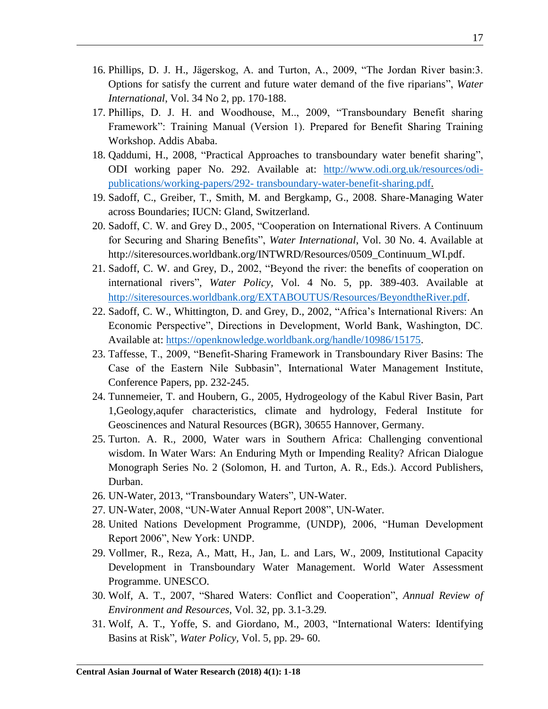- 16. Phillips, D. J. H., Jägerskog, A. and Turton, A., 2009, "The Jordan River basin:3. Options for satisfy the current and future water demand of the five riparians", *Water International*, Vol. 34 No 2, pp. 170-188.
- 17. Phillips, D. J. H. and Woodhouse, M.., 2009, "Transboundary Benefit sharing Framework": Training Manual (Version 1). Prepared for Benefit Sharing Training Workshop. Addis Ababa.
- 18. Qaddumi, H., 2008, "Practical Approaches to transboundary water benefit sharing", ODI working paper No. 292. Available at: [http://www.odi.org.uk/resources/odi](http://www.odi.org.uk/resources/odi-publications/working-papers/292-%20transboundary-water-benefit-sharing.pdf)publications/working-papers/292- [transboundary-water-benefit-sharing.pdf.](http://www.odi.org.uk/resources/odi-publications/working-papers/292-%20transboundary-water-benefit-sharing.pdf)
- 19. Sadoff, C., Greiber, T., Smith, M. and Bergkamp, G., 2008. Share-Managing Water across Boundaries; IUCN: Gland, Switzerland.
- 20. Sadoff, C. W. and Grey D., 2005, "Cooperation on International Rivers. A Continuum for Securing and Sharing Benefits", *Water International*, Vol. 30 No. 4. Available at [http://siteresources.worldbank.org/INTWRD/Resources/0509\\_Continuum\\_WI.pdf.](http://siteresources.worldbank.org/INTWRD/Resources/0509_Continuum_WI.pdf)
- 21. Sadoff, C. W. and Grey, D., 2002, "Beyond the river: the benefits of cooperation on international rivers", *Water Policy,* Vol. 4 No. 5, pp. 389-403. Available at [http://siteresources.worldbank.org/EXTABOUTUS/Resources/BeyondtheRiver.pdf.](http://siteresources.worldbank.org/EXTABOUTUS/Resources/BeyondtheRiver.pdf)
- 22. Sadoff, C. W., Whittington, D. and Grey, D., 2002, "Africa"s International Rivers: An Economic Perspective", Directions in Development, World Bank, Washington, DC. Available at: [https://openknowledge.worldbank.org/handle/10986/15175.](https://openknowledge.worldbank.org/handle/10986/15175)
- 23. Taffesse, T., 2009, "Benefit-Sharing Framework in Transboundary River Basins: The Case of the Eastern Nile Subbasin", International Water Management Institute, Conference Papers, pp. 232-245.
- 24. Tunnemeier, T. and Houbern, G., 2005, Hydrogeology of the Kabul River Basin, Part 1,Geology,aqufer characteristics, climate and hydrology, Federal Institute for Geoscinences and Natural Resources (BGR), 30655 Hannover, Germany.
- 25. Turton. A. R., 2000, Water wars in Southern Africa: Challenging conventional wisdom. In Water Wars: An Enduring Myth or Impending Reality? African Dialogue Monograph Series No. 2 (Solomon, H. and Turton, A. R., Eds.). Accord Publishers, Durban.
- 26. UN-Water, 2013, "Transboundary Waters", UN-Water.
- 27. UN-Water, 2008, "UN-Water Annual Report 2008", UN-Water.
- 28. United Nations Development Programme, (UNDP), 2006, "Human Development Report 2006", New York: UNDP.
- 29. Vollmer, R., Reza, A., Matt, H., Jan, L. and Lars, W., 2009, Institutional Capacity Development in Transboundary Water Management. World Water Assessment Programme. UNESCO.
- 30. Wolf, A. T., 2007, "Shared Waters: Conflict and Cooperation", *Annual Review of Environment and Resources,* Vol. 32, pp. 3.1-3.29*.*
- 31. Wolf, A. T., Yoffe, S. and Giordano, M., 2003, "International Waters: Identifying Basins at Risk", *Water Policy,* Vol. 5, pp. 29- 60.